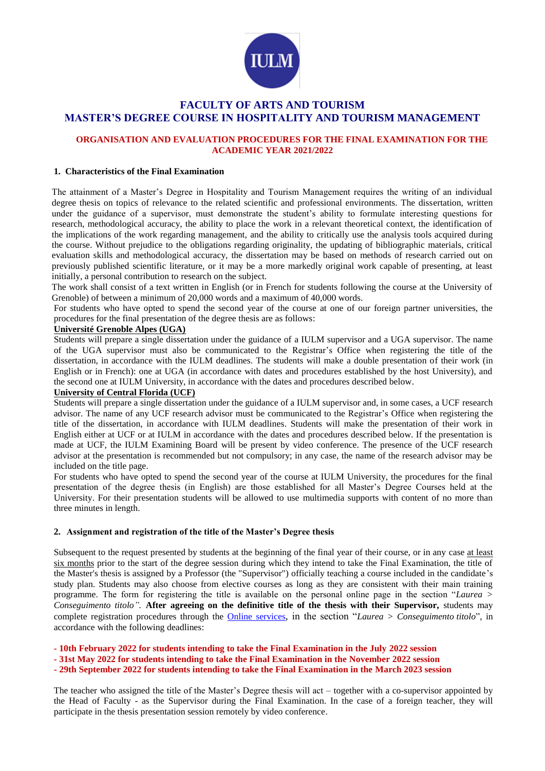

# **FACULTY OF ARTS AND TOURISM MASTER'S DEGREE COURSE IN HOSPITALITY AND TOURISM MANAGEMENT**

## **ORGANISATION AND EVALUATION PROCEDURES FOR THE FINAL EXAMINATION FOR THE ACADEMIC YEAR 2021/2022**

### **1. Characteristics of the Final Examination**

The attainment of a Master's Degree in Hospitality and Tourism Management requires the writing of an individual degree thesis on topics of relevance to the related scientific and professional environments. The dissertation, written under the guidance of a supervisor, must demonstrate the student's ability to formulate interesting questions for research, methodological accuracy, the ability to place the work in a relevant theoretical context, the identification of the implications of the work regarding management, and the ability to critically use the analysis tools acquired during the course. Without prejudice to the obligations regarding originality, the updating of bibliographic materials, critical evaluation skills and methodological accuracy, the dissertation may be based on methods of research carried out on previously published scientific literature, or it may be a more markedly original work capable of presenting, at least initially, a personal contribution to research on the subject.

The work shall consist of a text written in English (or in French for students following the course at the University of Grenoble) of between a minimum of 20,000 words and a maximum of 40,000 words.

For students who have opted to spend the second year of the course at one of our foreign partner universities, the procedures for the final presentation of the degree thesis are as follows:

### **Université Grenoble Alpes (UGA)**

Students will prepare a single dissertation under the guidance of a IULM supervisor and a UGA supervisor. The name of the UGA supervisor must also be communicated to the Registrar's Office when registering the title of the dissertation, in accordance with the IULM deadlines. The students will make a double presentation of their work (in English or in French): one at UGA (in accordance with dates and procedures established by the host University), and the second one at IULM University, in accordance with the dates and procedures described below.

#### **University of Central Florida (UCF)**

Students will prepare a single dissertation under the guidance of a IULM supervisor and, in some cases, a UCF research advisor. The name of any UCF research advisor must be communicated to the Registrar's Office when registering the title of the dissertation, in accordance with IULM deadlines. Students will make the presentation of their work in English either at UCF or at IULM in accordance with the dates and procedures described below. If the presentation is made at UCF, the IULM Examining Board will be present by video conference. The presence of the UCF research advisor at the presentation is recommended but not compulsory; in any case, the name of the research advisor may be included on the title page.

For students who have opted to spend the second year of the course at IULM University, the procedures for the final presentation of the degree thesis (in English) are those established for all Master's Degree Courses held at the University. For their presentation students will be allowed to use multimedia supports with content of no more than three minutes in length.

## **2. Assignment and registration of the title of the Master's Degree thesis**

Subsequent to the request presented by students at the beginning of the final year of their course, or in any case at least six months prior to the start of the degree session during which they intend to take the Final Examination, the title of the Master's thesis is assigned by a Professor (the "Supervisor") officially teaching a course included in the candidate's study plan. Students may also choose from elective courses as long as they are consistent with their main training programme. The form for registering the title is available on the personal online page in the section "*Laurea > Conseguimento titolo".* **After agreeing on the definitive title of the thesis with their Supervisor,** students may complete registration procedures through the [Online services](https://servizionline.iulm.it/Home.do), in the section "*Laurea > Conseguimento titolo*", in accordance with the following deadlines:

- **- 10th February 2022 for students intending to take the Final Examination in the July 2022 session**
- **- 31st May 2022 for students intending to take the Final Examination in the November 2022 session**
- **- 29th September 2022 for students intending to take the Final Examination in the March 2023 session**

The teacher who assigned the title of the Master's Degree thesis will act – together with a co-supervisor appointed by the Head of Faculty - as the Supervisor during the Final Examination. In the case of a foreign teacher, they will participate in the thesis presentation session remotely by video conference.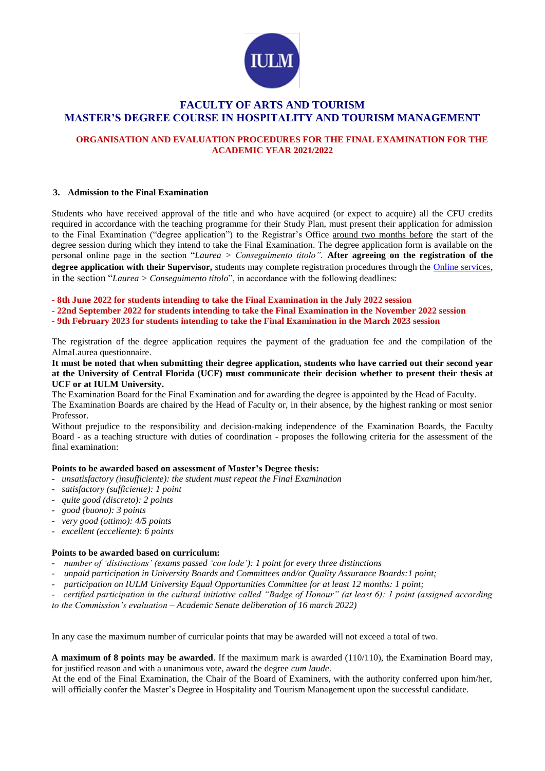

# **FACULTY OF ARTS AND TOURISM MASTER'S DEGREE COURSE IN HOSPITALITY AND TOURISM MANAGEMENT**

## **ORGANISATION AND EVALUATION PROCEDURES FOR THE FINAL EXAMINATION FOR THE ACADEMIC YEAR 2021/2022**

#### **3. Admission to the Final Examination**

Students who have received approval of the title and who have acquired (or expect to acquire) all the CFU credits required in accordance with the teaching programme for their Study Plan, must present their application for admission to the Final Examination ("degree application") to the Registrar's Office around two months before the start of the degree session during which they intend to take the Final Examination. The degree application form is available on the personal online page in the section "*Laurea > Conseguimento titolo".* **After agreeing on the registration of the degree application with their Supervisor,** students may complete registration procedures through the [Online services](https://servizionline.iulm.it/Home.do), in the section "*Laurea > Conseguimento titolo*", in accordance with the following deadlines:

**- 8th June 2022 for students intending to take the Final Examination in the July 2022 session**

- **- 22nd September 2022 for students intending to take the Final Examination in the November 2022 session**
- **- 9th February 2023 for students intending to take the Final Examination in the March 2023 session**

The registration of the degree application requires the payment of the graduation fee and the compilation of the AlmaLaurea questionnaire.

**It must be noted that when submitting their degree application, students who have carried out their second year at the University of Central Florida (UCF) must communicate their decision whether to present their thesis at UCF or at IULM University.**

The Examination Board for the Final Examination and for awarding the degree is appointed by the Head of Faculty. The Examination Boards are chaired by the Head of Faculty or, in their absence, by the highest ranking or most senior Professor.

Without prejudice to the responsibility and decision-making independence of the Examination Boards, the Faculty Board - as a teaching structure with duties of coordination - proposes the following criteria for the assessment of the final examination:

### **Points to be awarded based on assessment of Master's Degree thesis:**

- *unsatisfactory (insufficiente): the student must repeat the Final Examination*
- *satisfactory (sufficiente): 1 point*
- *quite good (discreto): 2 points*
- *good (buono): 3 points*
- *very good (ottimo): 4/5 points*
- *excellent (eccellente): 6 points*

## **Points to be awarded based on curriculum:**

- *number of 'distinctions' (exams passed 'con lode'): 1 point for every three distinctions*
- *unpaid participation in University Boards and Committees and/or Quality Assurance Boards:1 point;*
- *participation on IULM University Equal Opportunities Committee for at least 12 months: 1 point;*
- *certified participation in the cultural initiative called "Badge of Honour" (at least 6): 1 point (assigned according*

*to the Commission's evaluation – Academic Senate deliberation of 16 march 2022)*

In any case the maximum number of curricular points that may be awarded will not exceed a total of two.

**A maximum of 8 points may be awarded**. If the maximum mark is awarded (110/110), the Examination Board may, for justified reason and with a unanimous vote, award the degree *cum laude*.

At the end of the Final Examination, the Chair of the Board of Examiners, with the authority conferred upon him/her, will officially confer the Master's Degree in Hospitality and Tourism Management upon the successful candidate.